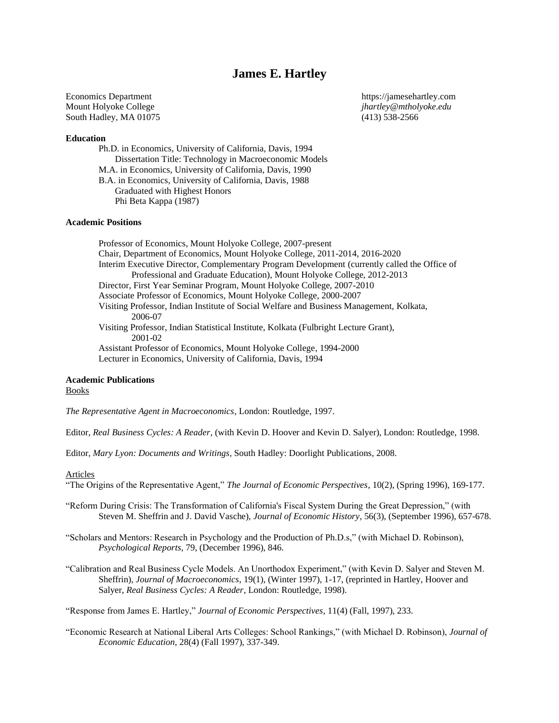# **James E. Hartley**

Mount Holyoke College *jhartley@mtholyoke.edu* South Hadley, MA 01075 (413) 538-2566

Economics Department https://jamesehartley.com

#### **Education**

Ph.D. in Economics, University of California, Davis, 1994 Dissertation Title: Technology in Macroeconomic Models M.A. in Economics, University of California, Davis, 1990 B.A. in Economics, University of California, Davis, 1988 Graduated with Highest Honors Phi Beta Kappa (1987)

## **Academic Positions**

Professor of Economics, Mount Holyoke College, 2007-present Chair, Department of Economics, Mount Holyoke College, 2011-2014, 2016-2020 Interim Executive Director, Complementary Program Development (currently called the Office of Professional and Graduate Education), Mount Holyoke College, 2012-2013 Director, First Year Seminar Program, Mount Holyoke College, 2007-2010 Associate Professor of Economics, Mount Holyoke College, 2000-2007 Visiting Professor, Indian Institute of Social Welfare and Business Management, Kolkata, 2006-07 Visiting Professor, Indian Statistical Institute, Kolkata (Fulbright Lecture Grant), 2001-02 Assistant Professor of Economics, Mount Holyoke College, 1994-2000 Lecturer in Economics, University of California, Davis, 1994

#### **Academic Publications**

## Books

*The Representative Agent in Macroeconomics*, London: Routledge, 1997.

Editor, *Real Business Cycles: A Reader*, (with Kevin D. Hoover and Kevin D. Salyer), London: Routledge, 1998.

Editor, *Mary Lyon: Documents and Writings*, South Hadley: Doorlight Publications, 2008.

#### Articles

"The Origins of the Representative Agent," *The Journal of Economic Perspectives*, 10(2), (Spring 1996), 169-177.

"Reform During Crisis: The Transformation of California's Fiscal System During the Great Depression," (with Steven M. Sheffrin and J. David Vasche), *Journal of Economic History*, 56(3), (September 1996), 657-678.

"Scholars and Mentors: Research in Psychology and the Production of Ph.D.s," (with Michael D. Robinson), *Psychological Reports*, 79, (December 1996), 846.

"Calibration and Real Business Cycle Models. An Unorthodox Experiment," (with Kevin D. Salyer and Steven M. Sheffrin), *Journal of Macroeconomics*, 19(1), (Winter 1997), 1-17, (reprinted in Hartley, Hoover and Salyer, *Real Business Cycles: A Reader*, London: Routledge, 1998).

"Response from James E. Hartley," *Journal of Economic Perspectives*, 11(4) (Fall, 1997), 233.

"Economic Research at National Liberal Arts Colleges: School Rankings," (with Michael D. Robinson), *Journal of Economic Education*, 28(4) (Fall 1997), 337-349.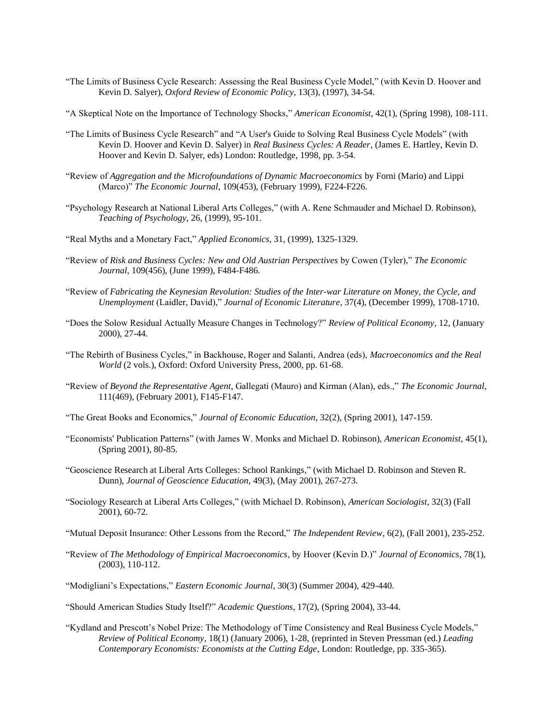- "The Limits of Business Cycle Research: Assessing the Real Business Cycle Model," (with Kevin D. Hoover and Kevin D. Salyer), *Oxford Review of Economic Policy*, 13(3), (1997), 34-54.
- "A Skeptical Note on the Importance of Technology Shocks," *American Economist*, 42(1), (Spring 1998), 108-111.
- "The Limits of Business Cycle Research" and "A User's Guide to Solving Real Business Cycle Models" (with Kevin D. Hoover and Kevin D. Salyer) in *Real Business Cycles: A Reader*, (James E. Hartley, Kevin D. Hoover and Kevin D. Salyer, eds) London: Routledge, 1998, pp. 3-54.
- "Review of *Aggregation and the Microfoundations of Dynamic Macroeconomics* by Forni (Mario) and Lippi (Marco)" *The Economic Journal*, 109(453), (February 1999), F224-F226.
- "Psychology Research at National Liberal Arts Colleges," (with A. Rene Schmauder and Michael D. Robinson), *Teaching of Psychology*, 26, (1999), 95-101.
- "Real Myths and a Monetary Fact," *Applied Economics*, 31, (1999), 1325-1329.
- "Review of *Risk and Business Cycles: New and Old Austrian Perspectives* by Cowen (Tyler)," *The Economic Journal*, 109(456), (June 1999), F484-F486.
- "Review of *Fabricating the Keynesian Revolution: Studies of the Inter-war Literature on Money, the Cycle, and Unemployment* (Laidler, David)," *Journal of Economic Literature*, 37(4), (December 1999), 1708-1710.
- "Does the Solow Residual Actually Measure Changes in Technology?" *Review of Political Economy*, 12, (January 2000), 27-44.
- "The Rebirth of Business Cycles," in Backhouse, Roger and Salanti, Andrea (eds), *Macroeconomics and the Real World* (2 vols.), Oxford: Oxford University Press, 2000, pp. 61-68.
- "Review of *Beyond the Representative Agent*, Gallegati (Mauro) and Kirman (Alan), eds.," *The Economic Journal*, 111(469), (February 2001), F145-F147.
- "The Great Books and Economics," *Journal of Economic Education*, 32(2), (Spring 2001), 147-159.
- "Economists' Publication Patterns" (with James W. Monks and Michael D. Robinson), *American Economist*, 45(1), (Spring 2001), 80-85.
- "Geoscience Research at Liberal Arts Colleges: School Rankings," (with Michael D. Robinson and Steven R. Dunn), *Journal of Geoscience Education*, 49(3), (May 2001), 267-273.
- "Sociology Research at Liberal Arts Colleges," (with Michael D. Robinson), *American Sociologist*, 32(3) (Fall 2001), 60-72.
- "Mutual Deposit Insurance: Other Lessons from the Record," *The Independent Review*, 6(2), (Fall 2001), 235-252.
- "Review of *The Methodology of Empirical Macroeconomics*, by Hoover (Kevin D.)" *Journal of Economics*, 78(1), (2003), 110-112.
- "Modigliani's Expectations," *Eastern Economic Journal*, 30(3) (Summer 2004), 429-440.
- "Should American Studies Study Itself?" *Academic Questions*, 17(2), (Spring 2004), 33-44.
- "Kydland and Prescott's Nobel Prize: The Methodology of Time Consistency and Real Business Cycle Models," *Review of Political Economy*, 18(1) (January 2006), 1-28, (reprinted in Steven Pressman (ed.) *Leading Contemporary Economists: Economists at the Cutting Edge*, London: Routledge, pp. 335-365).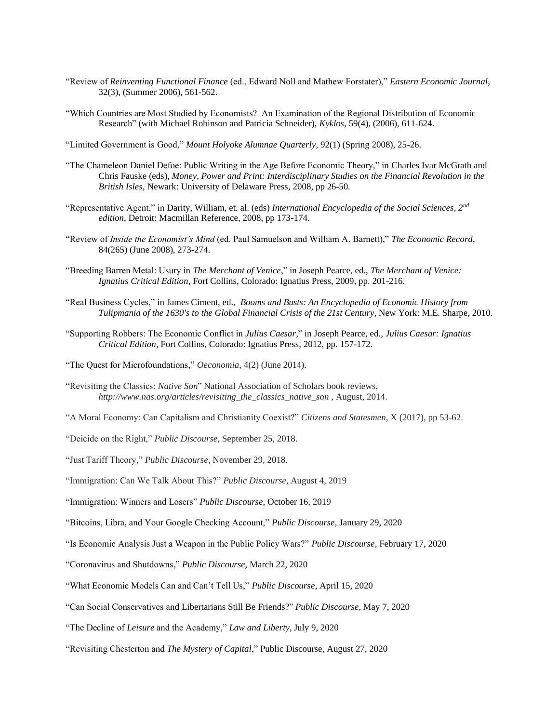- "Review of *Reinventing Functional Finance* (ed., Edward Noll and Mathew Forstater)," *Eastern Economic Journal*, 32(3), (Summer 2006), 561-562.
- "Which Countries are Most Studied by Economists? An Examination of the Regional Distribution of Economic Research" (with Michael Robinson and Patricia Schneider), *Kyklos*, 59(4), (2006), 611-624.

"Limited Government is Good," *Mount Holyoke Alumnae Quarterly*, 92(1) (Spring 2008), 25-26.

- "The Chameleon Daniel Defoe: Public Writing in the Age Before Economic Theory," in Charles Ivar McGrath and Chris Fauske (eds), *Money, Power and Print: Interdisciplinary Studies on the Financial Revolution in the British Isles*, Newark: University of Delaware Press, 2008, pp 26-50*.*
- "Representative Agent," in Darity, William, et. al. (eds) *International Encyclopedia of the Social Sciences, 2nd edition*, Detroit: Macmillan Reference, 2008, pp 173-174.
- "Review of *Inside the Economist's Mind* (ed. Paul Samuelson and William A. Barnett)," *The Economic Record*, 84(265) (June 2008), 273-274.
- "Breeding Barren Metal: Usury in *The Merchant of Venice*," in Joseph Pearce, ed., *The Merchant of Venice: Ignatius Critical Edition*, Fort Collins, Colorado: Ignatius Press, 2009, pp. 201-216.
- "Real Business Cycles," in James Ciment, ed., *Booms and Busts: An Encyclopedia of Economic History from Tulipmania of the 1630's to the Global Financial Crisis of the 21st Century*, New York: M.E. Sharpe, 2010.
- "Supporting Robbers: The Economic Conflict in *Julius Caesar,*" in Joseph Pearce, ed., *Julius Caesar: Ignatius Critical Edition*, Fort Collins, Colorado: Ignatius Press, 2012, pp. 157-172.
- "The Quest for Microfoundations," *Oeconomia*, 4(2) (June 2014).
- "Revisiting the Classics: *Native Son*" National Association of Scholars book reviews, *http://www.nas.org/articles/revisiting\_the\_classics\_native\_son* , August, 2014.
- "A Moral Economy: Can Capitalism and Christianity Coexist?" *Citizens and Statesmen*, X (2017), pp 53-62.
- "Deicide on the Right," *Public Discourse*, September 25, 2018.
- "Just Tariff Theory," *Public Discourse*, November 29, 2018.
- "Immigration: Can We Talk About This?" *Public Discourse*, August 4, 2019
- "Immigration: Winners and Losers" *Public Discourse*, October 16, 2019
- "Bitcoins, Libra, and Your Google Checking Account," *Public Discourse*, January 29, 2020
- "Is Economic Analysis Just a Weapon in the Public Policy Wars?" *Public Discourse*, February 17, 2020
- "Coronavirus and Shutdowns," *Public Discourse*, March 22, 2020
- "What Economic Models Can and Can't Tell Us," *Public Discourse*, April 15, 2020
- "Can Social Conservatives and Libertarians Still Be Friends?" *Public Discourse*, May 7, 2020
- "The Decline of *Leisure* and the Academy," *Law and Liberty*, July 9, 2020
- "Revisiting Chesterton and *The Mystery of Capital*," Public Discourse, August 27, 2020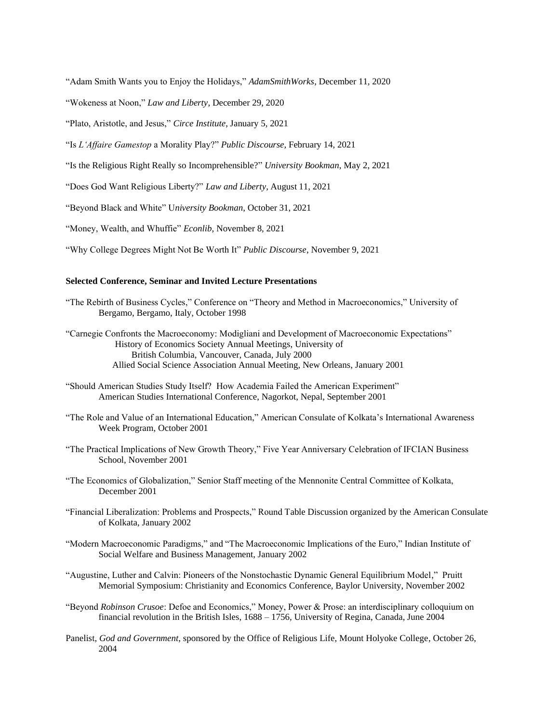"Adam Smith Wants you to Enjoy the Holidays," *AdamSmithWorks*, December 11, 2020

"Wokeness at Noon," *Law and Liberty*, December 29, 2020

"Plato, Aristotle, and Jesus," *Circe Institute*, January 5, 2021

"Is *L'Affaire Gamestop* a Morality Play?" *Public Discourse,* February 14, 2021

"Is the Religious Right Really so Incomprehensible?" *University Bookman*, May 2, 2021

"Does God Want Religious Liberty?" *Law and Liberty*, August 11, 2021

"Beyond Black and White" U*niversity Bookman*, October 31, 2021

"Money, Wealth, and Whuffie" *Econlib*, November 8, 2021

"Why College Degrees Might Not Be Worth It" *Public Discourse*, November 9, 2021

# **Selected Conference, Seminar and Invited Lecture Presentations**

"The Rebirth of Business Cycles," Conference on "Theory and Method in Macroeconomics," University of Bergamo, Bergamo, Italy, October 1998

"Carnegie Confronts the Macroeconomy: Modigliani and Development of Macroeconomic Expectations" History of Economics Society Annual Meetings, University of British Columbia, Vancouver, Canada, July 2000 Allied Social Science Association Annual Meeting, New Orleans, January 2001

- "Should American Studies Study Itself? How Academia Failed the American Experiment" American Studies International Conference, Nagorkot, Nepal, September 2001
- "The Role and Value of an International Education," American Consulate of Kolkata's International Awareness Week Program, October 2001
- "The Practical Implications of New Growth Theory," Five Year Anniversary Celebration of IFCIAN Business School, November 2001
- "The Economics of Globalization," Senior Staff meeting of the Mennonite Central Committee of Kolkata, December 2001
- "Financial Liberalization: Problems and Prospects," Round Table Discussion organized by the American Consulate of Kolkata, January 2002
- "Modern Macroeconomic Paradigms," and "The Macroeconomic Implications of the Euro," Indian Institute of Social Welfare and Business Management, January 2002
- "Augustine, Luther and Calvin: Pioneers of the Nonstochastic Dynamic General Equilibrium Model," Pruitt Memorial Symposium: Christianity and Economics Conference, Baylor University, November 2002
- "Beyond *Robinson Crusoe*: Defoe and Economics," Money, Power & Prose: an interdisciplinary colloquium on financial revolution in the British Isles, 1688 – 1756, University of Regina, Canada, June 2004
- Panelist, *God and Government*, sponsored by the Office of Religious Life, Mount Holyoke College, October 26, 2004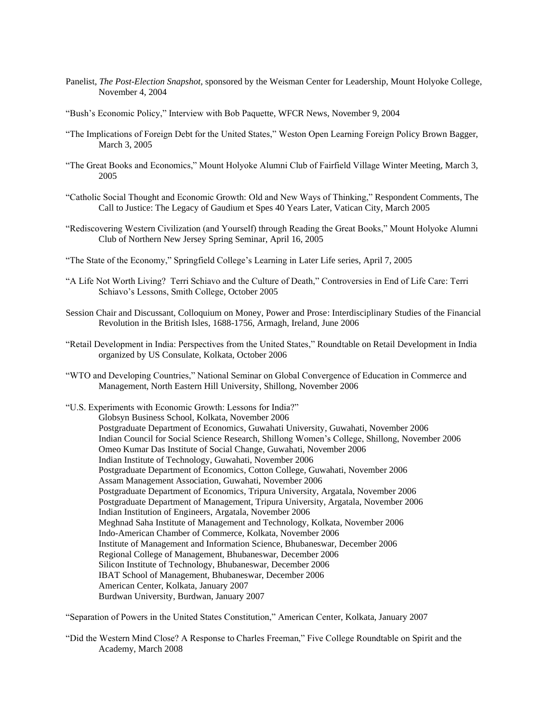- Panelist, *The Post-Election Snapshot*, sponsored by the Weisman Center for Leadership, Mount Holyoke College, November 4, 2004
- "Bush's Economic Policy," Interview with Bob Paquette, WFCR News, November 9, 2004
- "The Implications of Foreign Debt for the United States," Weston Open Learning Foreign Policy Brown Bagger, March 3, 2005
- "The Great Books and Economics," Mount Holyoke Alumni Club of Fairfield Village Winter Meeting, March 3, 2005
- "Catholic Social Thought and Economic Growth: Old and New Ways of Thinking," Respondent Comments, The Call to Justice: The Legacy of Gaudium et Spes 40 Years Later, Vatican City, March 2005
- "Rediscovering Western Civilization (and Yourself) through Reading the Great Books," Mount Holyoke Alumni Club of Northern New Jersey Spring Seminar, April 16, 2005
- "The State of the Economy," Springfield College's Learning in Later Life series, April 7, 2005
- "A Life Not Worth Living? Terri Schiavo and the Culture of Death," Controversies in End of Life Care: Terri Schiavo's Lessons, Smith College, October 2005
- Session Chair and Discussant, Colloquium on Money, Power and Prose: Interdisciplinary Studies of the Financial Revolution in the British Isles, 1688-1756, Armagh, Ireland, June 2006
- "Retail Development in India: Perspectives from the United States," Roundtable on Retail Development in India organized by US Consulate, Kolkata, October 2006
- "WTO and Developing Countries," National Seminar on Global Convergence of Education in Commerce and Management, North Eastern Hill University, Shillong, November 2006

"U.S. Experiments with Economic Growth: Lessons for India?" Globsyn Business School, Kolkata, November 2006 Postgraduate Department of Economics, Guwahati University, Guwahati, November 2006 Indian Council for Social Science Research, Shillong Women's College, Shillong, November 2006 Omeo Kumar Das Institute of Social Change, Guwahati, November 2006 Indian Institute of Technology, Guwahati, November 2006 Postgraduate Department of Economics, Cotton College, Guwahati, November 2006 Assam Management Association, Guwahati, November 2006 Postgraduate Department of Economics, Tripura University, Argatala, November 2006 Postgraduate Department of Management, Tripura University, Argatala, November 2006 Indian Institution of Engineers, Argatala, November 2006 Meghnad Saha Institute of Management and Technology, Kolkata, November 2006 Indo-American Chamber of Commerce, Kolkata, November 2006 Institute of Management and Information Science, Bhubaneswar, December 2006 Regional College of Management, Bhubaneswar, December 2006 Silicon Institute of Technology, Bhubaneswar, December 2006 IBAT School of Management, Bhubaneswar, December 2006 American Center, Kolkata, January 2007 Burdwan University, Burdwan, January 2007

"Separation of Powers in the United States Constitution," American Center, Kolkata, January 2007

"Did the Western Mind Close? A Response to Charles Freeman," Five College Roundtable on Spirit and the Academy, March 2008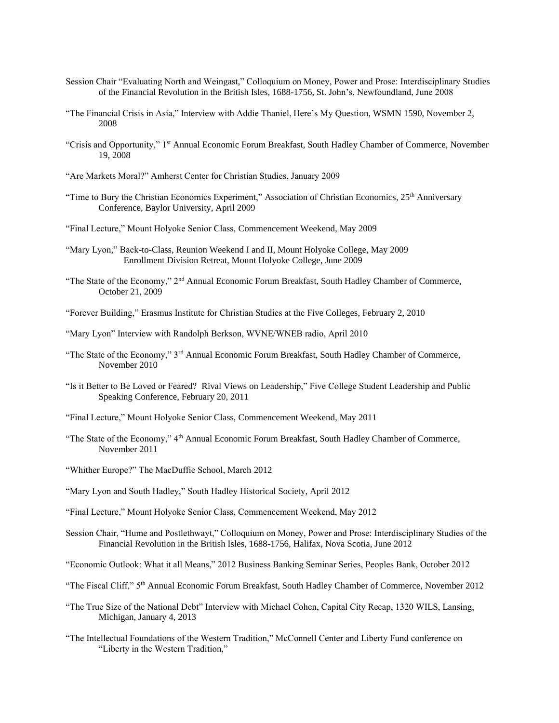- Session Chair "Evaluating North and Weingast," Colloquium on Money, Power and Prose: Interdisciplinary Studies of the Financial Revolution in the British Isles, 1688-1756, St. John's, Newfoundland, June 2008
- "The Financial Crisis in Asia," Interview with Addie Thaniel, Here's My Question, WSMN 1590, November 2, 2008
- "Crisis and Opportunity," 1st Annual Economic Forum Breakfast, South Hadley Chamber of Commerce, November 19, 2008
- "Are Markets Moral?" Amherst Center for Christian Studies, January 2009
- "Time to Bury the Christian Economics Experiment," Association of Christian Economics, 25<sup>th</sup> Anniversary Conference, Baylor University, April 2009
- "Final Lecture," Mount Holyoke Senior Class, Commencement Weekend, May 2009
- "Mary Lyon," Back-to-Class, Reunion Weekend I and II, Mount Holyoke College, May 2009 Enrollment Division Retreat, Mount Holyoke College, June 2009
- "The State of the Economy," 2<sup>nd</sup> Annual Economic Forum Breakfast, South Hadley Chamber of Commerce, October 21, 2009
- "Forever Building," Erasmus Institute for Christian Studies at the Five Colleges, February 2, 2010
- "Mary Lyon" Interview with Randolph Berkson, WVNE/WNEB radio, April 2010
- "The State of the Economy," 3rd Annual Economic Forum Breakfast, South Hadley Chamber of Commerce, November 2010
- "Is it Better to Be Loved or Feared? Rival Views on Leadership," Five College Student Leadership and Public Speaking Conference, February 20, 2011
- "Final Lecture," Mount Holyoke Senior Class, Commencement Weekend, May 2011
- "The State of the Economy," 4th Annual Economic Forum Breakfast, South Hadley Chamber of Commerce, November 2011
- "Whither Europe?" The MacDuffie School, March 2012
- "Mary Lyon and South Hadley," South Hadley Historical Society, April 2012
- "Final Lecture," Mount Holyoke Senior Class, Commencement Weekend, May 2012
- Session Chair, "Hume and Postlethwayt," Colloquium on Money, Power and Prose: Interdisciplinary Studies of the Financial Revolution in the British Isles, 1688-1756, Halifax, Nova Scotia, June 2012
- "Economic Outlook: What it all Means," 2012 Business Banking Seminar Series, Peoples Bank, October 2012
- "The Fiscal Cliff," 5th Annual Economic Forum Breakfast, South Hadley Chamber of Commerce, November 2012
- "The True Size of the National Debt" Interview with Michael Cohen, Capital City Recap, 1320 WILS, Lansing, Michigan, January 4, 2013
- "The Intellectual Foundations of the Western Tradition," McConnell Center and Liberty Fund conference on "Liberty in the Western Tradition,"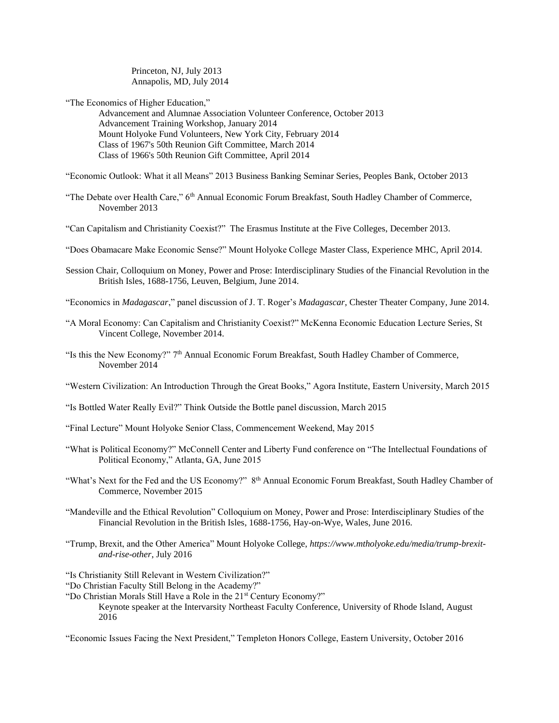Princeton, NJ, July 2013 Annapolis, MD, July 2014

"The Economics of Higher Education,"

Advancement and Alumnae Association Volunteer Conference, October 2013 Advancement Training Workshop, January 2014 Mount Holyoke Fund Volunteers, New York City, February 2014 Class of 1967's 50th Reunion Gift Committee, March 2014 Class of 1966's 50th Reunion Gift Committee, April 2014

"Economic Outlook: What it all Means" 2013 Business Banking Seminar Series, Peoples Bank, October 2013

- "The Debate over Health Care," 6<sup>th</sup> Annual Economic Forum Breakfast, South Hadley Chamber of Commerce, November 2013
- "Can Capitalism and Christianity Coexist?" The Erasmus Institute at the Five Colleges, December 2013.
- "Does Obamacare Make Economic Sense?" Mount Holyoke College Master Class, Experience MHC, April 2014.
- Session Chair, Colloquium on Money, Power and Prose: Interdisciplinary Studies of the Financial Revolution in the British Isles, 1688-1756, Leuven, Belgium, June 2014.

"Economics in *Madagascar*," panel discussion of J. T. Roger's *Madagascar*, Chester Theater Company, June 2014.

- "A Moral Economy: Can Capitalism and Christianity Coexist?" McKenna Economic Education Lecture Series, St Vincent College, November 2014.
- "Is this the New Economy?" 7th Annual Economic Forum Breakfast, South Hadley Chamber of Commerce, November 2014

"Western Civilization: An Introduction Through the Great Books," Agora Institute, Eastern University, March 2015

- "Is Bottled Water Really Evil?" Think Outside the Bottle panel discussion, March 2015
- "Final Lecture" Mount Holyoke Senior Class, Commencement Weekend, May 2015
- "What is Political Economy?" McConnell Center and Liberty Fund conference on "The Intellectual Foundations of Political Economy," Atlanta, GA, June 2015
- "What's Next for the Fed and the US Economy?" 8<sup>th</sup> Annual Economic Forum Breakfast, South Hadley Chamber of Commerce, November 2015
- "Mandeville and the Ethical Revolution" Colloquium on Money, Power and Prose: Interdisciplinary Studies of the Financial Revolution in the British Isles, 1688-1756, Hay-on-Wye, Wales, June 2016.
- "Trump, Brexit, and the Other America" Mount Holyoke College, *https://www.mtholyoke.edu/media/trump-brexitand-rise-other*, July 2016
- "Is Christianity Still Relevant in Western Civilization?"

"Do Christian Faculty Still Belong in the Academy?"

"Do Christian Morals Still Have a Role in the 21<sup>st</sup> Century Economy?" Keynote speaker at the Intervarsity Northeast Faculty Conference, University of Rhode Island, August 2016

"Economic Issues Facing the Next President," Templeton Honors College, Eastern University, October 2016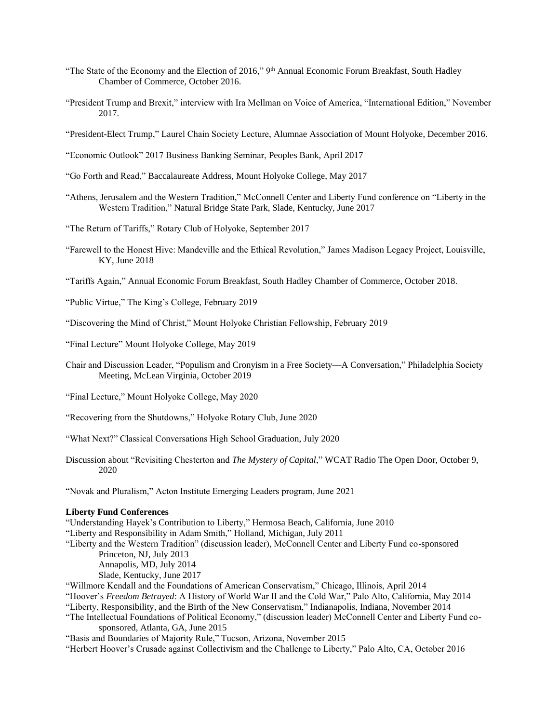- "The State of the Economy and the Election of 2016," 9<sup>th</sup> Annual Economic Forum Breakfast, South Hadley Chamber of Commerce, October 2016.
- "President Trump and Brexit," interview with Ira Mellman on Voice of America, "International Edition," November 2017.
- "President-Elect Trump," Laurel Chain Society Lecture, Alumnae Association of Mount Holyoke, December 2016.
- "Economic Outlook" 2017 Business Banking Seminar, Peoples Bank, April 2017
- "Go Forth and Read," Baccalaureate Address, Mount Holyoke College, May 2017
- "Athens, Jerusalem and the Western Tradition," McConnell Center and Liberty Fund conference on "Liberty in the Western Tradition," Natural Bridge State Park, Slade, Kentucky, June 2017
- "The Return of Tariffs," Rotary Club of Holyoke, September 2017
- "Farewell to the Honest Hive: Mandeville and the Ethical Revolution," James Madison Legacy Project, Louisville, KY, June 2018
- "Tariffs Again," Annual Economic Forum Breakfast, South Hadley Chamber of Commerce, October 2018.

"Public Virtue," The King's College, February 2019

"Discovering the Mind of Christ," Mount Holyoke Christian Fellowship, February 2019

"Final Lecture" Mount Holyoke College, May 2019

- Chair and Discussion Leader, "Populism and Cronyism in a Free Society—A Conversation," Philadelphia Society Meeting, McLean Virginia, October 2019
- "Final Lecture," Mount Holyoke College, May 2020
- "Recovering from the Shutdowns," Holyoke Rotary Club, June 2020
- "What Next?" Classical Conversations High School Graduation, July 2020
- Discussion about "Revisiting Chesterton and *The Mystery of Capital*," WCAT Radio The Open Door, October 9, 2020

"Novak and Pluralism," Acton Institute Emerging Leaders program, June 2021

# **Liberty Fund Conferences**

"Understanding Hayek's Contribution to Liberty," Hermosa Beach, California, June 2010 "Liberty and Responsibility in Adam Smith," Holland, Michigan, July 2011 "Liberty and the Western Tradition" (discussion leader), McConnell Center and Liberty Fund co-sponsored Princeton, NJ, July 2013 Annapolis, MD, July 2014 Slade, Kentucky, June 2017 "Willmore Kendall and the Foundations of American Conservatism," Chicago, Illinois, April 2014 "Hoover's *Freedom Betrayed*: A History of World War II and the Cold War," Palo Alto, California, May 2014 "Liberty, Responsibility, and the Birth of the New Conservatism," Indianapolis, Indiana, November 2014 "The Intellectual Foundations of Political Economy," (discussion leader) McConnell Center and Liberty Fund cosponsored, Atlanta, GA, June 2015

"Basis and Boundaries of Majority Rule," Tucson, Arizona, November 2015

"Herbert Hoover's Crusade against Collectivism and the Challenge to Liberty," Palo Alto, CA, October 2016